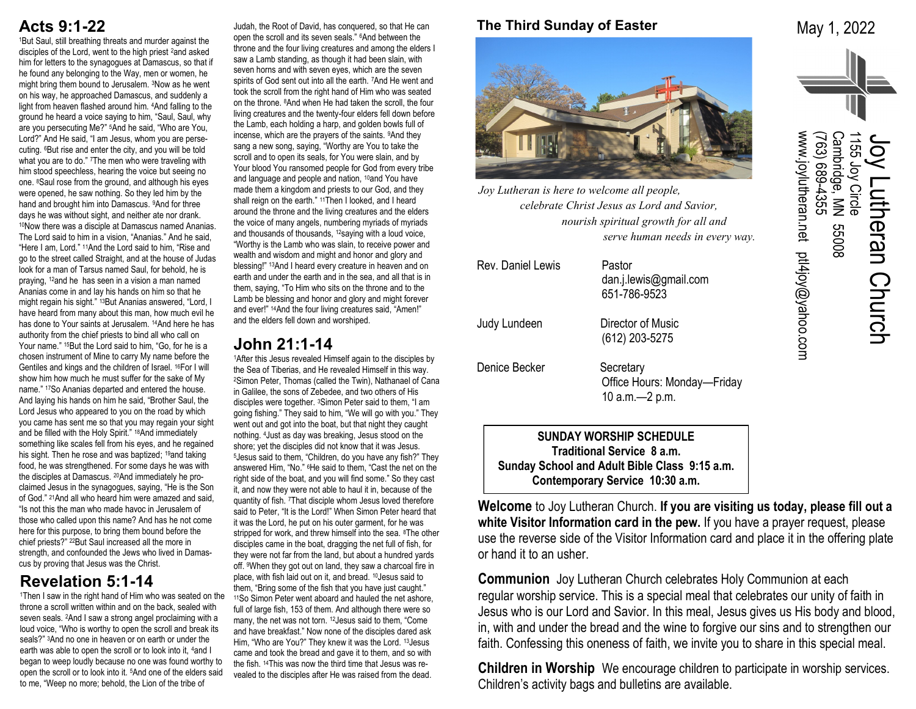## **Acts 9:1-22**

<sup>1</sup>But Saul, still breathing threats and murder against the disciples of the Lord, went to the high priest 2and asked him for letters to the synagogues at Damascus, so that if he found any belonging to the Way, men or women, he might bring them bound to Jerusalem. 3Now as he went on his way, he approached Damascus, and suddenly a light from heaven flashed around him. 4And falling to the ground he heard a voice saying to him, "Saul, Saul, why are you persecuting Me?" 5And he said, "Who are You, Lord?" And He said, "I am Jesus, whom you are persecuting. 6But rise and enter the city, and you will be told what you are to do." <sup>7</sup>The men who were traveling with him stood speechless, hearing the voice but seeing no one. 8Saul rose from the ground, and although his eyes were opened, he saw nothing. So they led him by the hand and brought him into Damascus. 9And for three days he was without sight, and neither ate nor drank. <sup>10</sup>Now there was a disciple at Damascus named Ananias. The Lord said to him in a vision, "Ananias." And he said, "Here I am, Lord." 11And the Lord said to him, "Rise and go to the street called Straight, and at the house of Judas look for a man of Tarsus named Saul, for behold, he is praying, 12and he has seen in a vision a man named Ananias come in and lay his hands on him so that he might regain his sight." 13But Ananias answered, "Lord, I have heard from many about this man, how much evil he has done to Your saints at Jerusalem. 14And here he has authority from the chief priests to bind all who call on Your name." 15But the Lord said to him, "Go, for he is a chosen instrument of Mine to carry My name before the Gentiles and kings and the children of Israel. 16For I will show him how much he must suffer for the sake of My name." 17So Ananias departed and entered the house. And laying his hands on him he said, "Brother Saul, the Lord Jesus who appeared to you on the road by which you came has sent me so that you may regain your sight and be filled with the Holy Spirit." 18And immediately something like scales fell from his eyes, and he regained his sight. Then he rose and was baptized; <sup>19</sup>and taking food, he was strengthened. For some days he was with the disciples at Damascus. 20And immediately he proclaimed Jesus in the synagogues, saying, "He is the Son of God." 21And all who heard him were amazed and said, "Is not this the man who made havoc in Jerusalem of those who called upon this name? And has he not come here for this purpose, to bring them bound before the chief priests?" 22But Saul increased all the more in strength, and confounded the Jews who lived in Damascus by proving that Jesus was the Christ.

## **Revelation 5:1-14**

<sup>1</sup>Then I saw in the right hand of Him who was seated on the throne a scroll written within and on the back, sealed with seven seals. 2And I saw a strong angel proclaiming with a loud voice, "Who is worthy to open the scroll and break its seals?" 3And no one in heaven or on earth or under the earth was able to open the scroll or to look into it, 4and I began to weep loudly because no one was found worthy to open the scroll or to look into it. 5And one of the elders said to me, "Weep no more; behold, the Lion of the tribe of

Judah, the Root of David, has conquered, so that He can open the scroll and its seven seals." 6And between the throne and the four living creatures and among the elders I saw a Lamb standing, as though it had been slain, with seven horns and with seven eyes, which are the seven spirits of God sent out into all the earth. 7And He went and took the scroll from the right hand of Him who was seated on the throne. 8And when He had taken the scroll, the four living creatures and the twenty-four elders fell down before the Lamb, each holding a harp, and golden bowls full of incense, which are the prayers of the saints. 9And they sang a new song, saying, "Worthy are You to take the scroll and to open its seals, for You were slain, and by Your blood You ransomed people for God from every tribe and language and people and nation, <sup>10</sup>and You have made them a kingdom and priests to our God, and they shall reign on the earth." <sup>11</sup>Then I looked, and I heard around the throne and the living creatures and the elders the voice of many angels, numbering myriads of myriads and thousands of thousands, 12saying with a loud voice, "Worthy is the Lamb who was slain, to receive power and wealth and wisdom and might and honor and glory and blessing!" 13And I heard every creature in heaven and on earth and under the earth and in the sea, and all that is in them, saying, "To Him who sits on the throne and to the Lamb be blessing and honor and glory and might forever and ever!" 14And the four living creatures said, "Amen!" and the elders fell down and worshiped.

## **John 21:1-14**

1After this Jesus revealed Himself again to the disciples by the Sea of Tiberias, and He revealed Himself in this way. <sup>2</sup>Simon Peter, Thomas (called the Twin), Nathanael of Cana in Galilee, the sons of Zebedee, and two others of His disciples were together. 3Simon Peter said to them, "I am going fishing." They said to him, "We will go with you." They went out and got into the boat, but that night they caught nothing. 4Just as day was breaking, Jesus stood on the shore; yet the disciples did not know that it was Jesus. <sup>5</sup>Jesus said to them, "Children, do you have any fish?" They answered Him, "No." 6He said to them, "Cast the net on the right side of the boat, and you will find some." So they cast it, and now they were not able to haul it in, because of the quantity of fish. 7That disciple whom Jesus loved therefore said to Peter, "It is the Lord!" When Simon Peter heard that it was the Lord, he put on his outer garment, for he was stripped for work, and threw himself into the sea. <sup>8</sup>The other disciples came in the boat, dragging the net full of fish, for they were not far from the land, but about a hundred yards off. 9When they got out on land, they saw a charcoal fire in place, with fish laid out on it, and bread. 10Jesus said to them, "Bring some of the fish that you have just caught." <sup>11</sup>So Simon Peter went aboard and hauled the net ashore, full of large fish, 153 of them. And although there were so many, the net was not torn. 12Jesus said to them, "Come and have breakfast." Now none of the disciples dared ask Him, "Who are You?" They knew it was the Lord. 13Jesus came and took the bread and gave it to them, and so with the fish. 14This was now the third time that Jesus was revealed to the disciples after He was raised from the dead.

## **The Third Sunday of Easter**

May 1, 2022



*Joy Lutheran is here to welcome all people, celebrate Christ Jesus as Lord and Savior, nourish spiritual growth for all and serve human needs in every way.*

| Rev. Daniel Lewis | Pastor<br>dan.j.lewis@gmail.com<br>651-786-9523              |
|-------------------|--------------------------------------------------------------|
| Judy Lundeen      | Director of Music<br>(612) 203-5275                          |
| Denice Becker     | Secretary<br>Office Hours: Monday-Friday<br>10 a.m. - 2 p.m. |

**SUNDAY WORSHIP SCHEDULE Traditional Service 8 a.m. Sunday School and Adult Bible Class 9:15 a.m. Contemporary Service 10:30 a.m.**

**Welcome** to Joy Lutheran Church. **If you are visiting us today, please fill out a white Visitor Information card in the pew.** If you have a prayer request, please use the reverse side of the Visitor Information card and place it in the offering plate or hand it to an usher.

**Communion** Joy Lutheran Church celebrates Holy Communion at each regular worship service. This is a special meal that celebrates our unity of faith in Jesus who is our Lord and Savior. In this meal, Jesus gives us His body and blood, in, with and under the bread and the wine to forgive our sins and to strengthen our faith. Confessing this oneness of faith, we invite you to share in this special meal.

**Children in Worship** We encourage children to participate in worship services. Children's activity bags and bulletins are available.